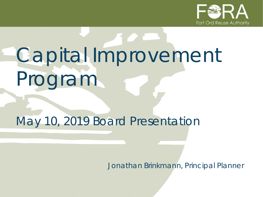

# Capital Improvement Program

# May 10, 2019 Board Presentation

*Jonathan Brinkmann, Principal Planner*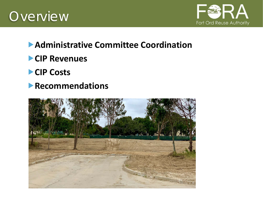



#### **Administrative Committee Coordination**

- **CIP Revenues**
- **CIP Costs**
- **Recommendations**

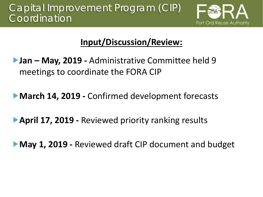## Capital Improvement Program (CIP) **Coordination**



## **Input/Discussion/Review:**

- **Jan – May, 2019 -** Administrative Committee held 9 meetings to coordinate the FORA CIP
- **March 14, 2019 Confirmed development forecasts**
- **April 17, 2019 -** Reviewed priority ranking results
- **May 1, 2019 -** Reviewed draft CIP document and budget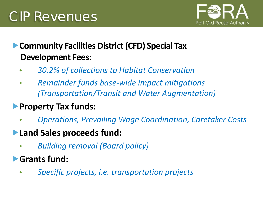

## **Community Facilities District (CFD) Special Tax Development Fees:**

- *30.2% of collections to Habitat Conservation*
- *Remainder funds base-wide impact mitigations (Transportation/Transit and Water Augmentation)*
- **Property Tax funds:**
	- *Operations, Prevailing Wage Coordination, Caretaker Costs*
- **Land Sales proceeds fund:**
	- *Building removal (Board policy)*
- **Grants fund:**
	- *Specific projects, i.e. transportation projects*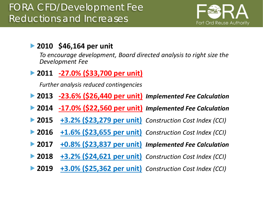

#### **2010 \$46,164 per unit**

*To encourage development, Board directed analysis to right size the Development Fee*

**2011 -27.0% (\$33,700 per unit)**

*Further analysis reduced contingencies*

- **2013 -23.6% (\$26,440 per unit)** *Implemented Fee Calculation*
- **2014 -17.0% (\$22,560 per unit)** *Implemented Fee Calculation*
- **2015 +3.2% (\$23,279 per unit)** *Construction Cost Index (CCI)*
- **2016 +1.6% (\$23,655 per unit)** *Construction Cost Index (CCI)*
- **2017 +0.8% (\$23,837 per unit)** *Implemented Fee Calculation*
- **2018 +3.2% (\$24,621 per unit)** *Construction Cost Index (CCI)*
- **2019 +3.0% (\$25,362 per unit)** *Construction Cost Index (CCI)*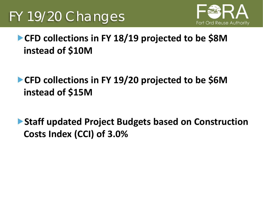

## **CFD collections in FY 18/19 projected to be \$8M instead of \$10M**

- **CFD collections in FY 19/20 projected to be \$6M instead of \$15M**
- ▶ Staff updated Project Budgets based on Construction **Costs Index (CCI) of 3.0%**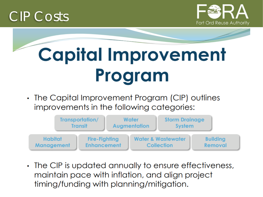





• The Capital Improvement Program (CIP) outlines improvements in the following categories:



• The CIP is updated annually to ensure effectiveness, maintain pace with inflation, and align project timing/funding with planning/mitigation.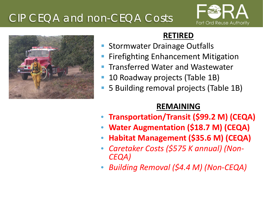# CIP CEQA and non-CEQA Costs





#### **RETIRED**

- Stormwater Drainage Outfalls
- Firefighting Enhancement Mitigation
- Transferred Water and Wastewater
- 10 Roadway projects (Table 1B)
- 5 Building removal projects (Table 1B)

#### **REMAINING**

- **Transportation/Transit (\$99.2 M) (CEQA)**
- **Water Augmentation (\$18.7 M) (CEQA)**
- **Habitat Management (\$35.6 M) (CEQA)**
- *Caretaker Costs (\$575 K annual) (Non- CEQA)*
- *Building Removal (\$4.4 M) (Non-CEQA)*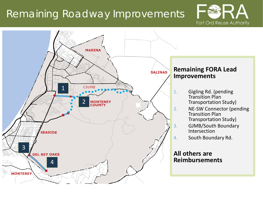## Remaining Roadway Improvements



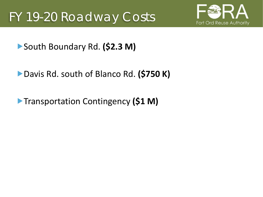

South Boundary Rd. **(\$2.3 M)**

Davis Rd. south of Blanco Rd. **(\$750 K)**

**Transportation Contingency (\$1 M)**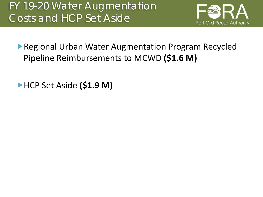

**Regional Urban Water Augmentation Program Recycled** Pipeline Reimbursements to MCWD **(\$1.6 M)**

**EXALGE Aside (\$1.9 M)**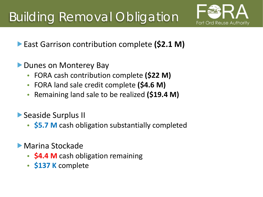

**East Garrison contribution complete (\$2.1 M)** 

- ▶ Dunes on Monterey Bay
	- FORA cash contribution complete **(\$22 M)**
	- FORA land sale credit complete **(\$4.6 M)**
	- Remaining land sale to be realized **(\$19.4 M)**
- Seaside Surplus II
	- **\$5.7 M** cash obligation substantially completed
- Marina Stockade
	- **\$4.4 M** cash obligation remaining
	- **\$137 K** complete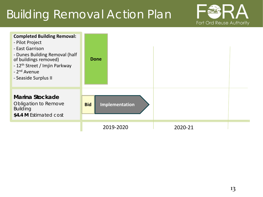# Building Removal Action Plan



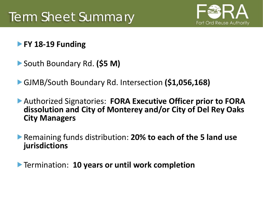

#### **FY 18-19 Funding**

- South Boundary Rd. **(\$5 M)**
- GJMB/South Boundary Rd. Intersection **(\$1,056,168)**
- Authorized Signatories: **FORA Executive Officer prior to FORA dissolution and City of Monterey and/or City of Del Rey Oaks City Managers**
- Remaining funds distribution: **20% to each of the 5 land use jurisdictions**

Termination: **10 years or until work completion**